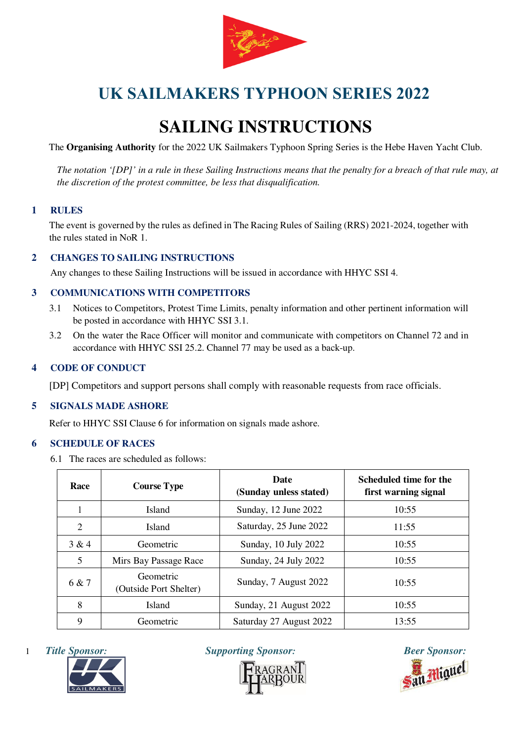

# **SAILING INSTRUCTIONS**

The **Organising Authority** for the 2022 UK Sailmakers Typhoon Spring Series is the Hebe Haven Yacht Club.

*The notation '[DP]' in a rule in these Sailing Instructions means that the penalty for a breach of that rule may, at the discretion of the protest committee, be less that disqualification.* 

# **1 RULES**

The event is governed by the rules as defined in The Racing Rules of Sailing (RRS) 2021-2024, together with the rules stated in NoR 1.

# **2 CHANGES TO SAILING INSTRUCTIONS**

Any changes to these Sailing Instructions will be issued in accordance with HHYC SSI 4.

### **3 COMMUNICATIONS WITH COMPETITORS**

- 3.1 Notices to Competitors, Protest Time Limits, penalty information and other pertinent information will be posted in accordance with HHYC SSI 3.1.
- 3.2 On the water the Race Officer will monitor and communicate with competitors on Channel 72 and in accordance with HHYC SSI 25.2. Channel 77 may be used as a back-up.

### **4 CODE OF CONDUCT**

[DP] Competitors and support persons shall comply with reasonable requests from race officials.

# **5 SIGNALS MADE ASHORE**

Refer to HHYC SSI Clause 6 for information on signals made ashore.

#### **6 SCHEDULE OF RACES**

6.1 The races are scheduled as follows:

| Race  | <b>Course Type</b>                  | <b>Date</b><br>(Sunday unless stated) | Scheduled time for the<br>first warning signal |
|-------|-------------------------------------|---------------------------------------|------------------------------------------------|
|       | <b>Island</b>                       | Sunday, 12 June 2022                  | 10:55                                          |
| 2     | <b>Island</b>                       | Saturday, 25 June 2022                | 11:55                                          |
| 3 & 4 | Geometric                           | Sunday, 10 July 2022                  | 10:55                                          |
| 5     | Mirs Bay Passage Race               | Sunday, 24 July 2022                  | 10:55                                          |
| 6 & 7 | Geometric<br>(Outside Port Shelter) | Sunday, 7 August 2022                 | 10:55                                          |
| 8     | <b>Island</b>                       | Sunday, 21 August 2022                | 10:55                                          |
| 9     | Geometric                           | Saturday 27 August 2022               | 13:55                                          |





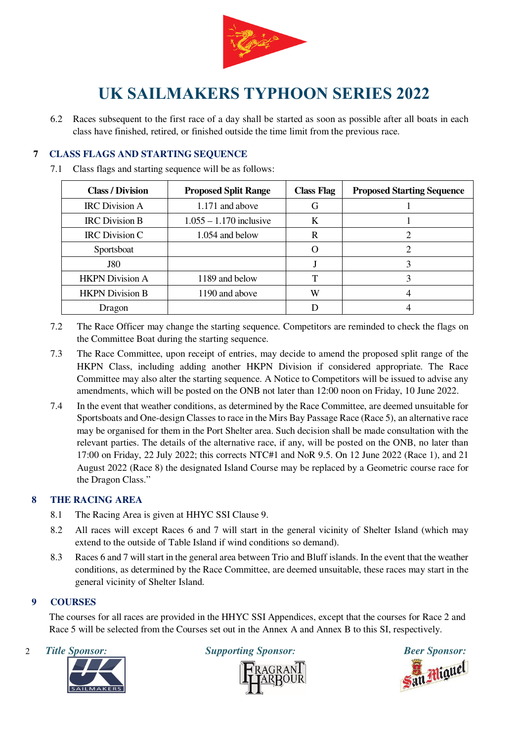

6.2 Races subsequent to the first race of a day shall be started as soon as possible after all boats in each class have finished, retired, or finished outside the time limit from the previous race.

# **7 CLASS FLAGS AND STARTING SEQUENCE**

7.1 Class flags and starting sequence will be as follows:

| <b>Class / Division</b> | <b>Proposed Split Range</b> | <b>Class Flag</b> | <b>Proposed Starting Sequence</b> |
|-------------------------|-----------------------------|-------------------|-----------------------------------|
| <b>IRC</b> Division A   | 1.171 and above             | G                 |                                   |
| <b>IRC</b> Division B   | $1.055 - 1.170$ inclusive   | K                 |                                   |
| <b>IRC</b> Division C   | $1.054$ and below           | R                 |                                   |
| Sportsboat              |                             |                   |                                   |
| <b>J80</b>              |                             |                   |                                   |
| <b>HKPN</b> Division A  | 1189 and below              | Т                 |                                   |
| <b>HKPN</b> Division B  | 1190 and above              | W                 |                                   |
| Dragon                  |                             |                   |                                   |

- 7.2 The Race Officer may change the starting sequence. Competitors are reminded to check the flags on the Committee Boat during the starting sequence.
- 7.3 The Race Committee, upon receipt of entries, may decide to amend the proposed split range of the HKPN Class, including adding another HKPN Division if considered appropriate. The Race Committee may also alter the starting sequence. A Notice to Competitors will be issued to advise any amendments, which will be posted on the ONB not later than 12:00 noon on Friday, 10 June 2022.
- 7.4 In the event that weather conditions, as determined by the Race Committee, are deemed unsuitable for Sportsboats and One-design Classes to race in the Mirs Bay Passage Race (Race 5), an alternative race may be organised for them in the Port Shelter area. Such decision shall be made consultation with the relevant parties. The details of the alternative race, if any, will be posted on the ONB, no later than 17:00 on Friday, 22 July 2022; this corrects NTC#1 and NoR 9.5. On 12 June 2022 (Race 1), and 21 August 2022 (Race 8) the designated Island Course may be replaced by a Geometric course race for the Dragon Class."

# **8 THE RACING AREA**

- 8.1 The Racing Area is given at HHYC SSI Clause 9.
- 8.2 All races will except Races 6 and 7 will start in the general vicinity of Shelter Island (which may extend to the outside of Table Island if wind conditions so demand).
- 8.3 Races 6 and 7 will start in the general area between Trio and Bluff islands. In the event that the weather conditions, as determined by the Race Committee, are deemed unsuitable, these races may start in the general vicinity of Shelter Island.

# **9 COURSES**

The courses for all races are provided in the HHYC SSI Appendices, except that the courses for Race 2 and Race 5 will be selected from the Courses set out in the Annex A and Annex B to this SI, respectively.



2 Title Sponsor: Supporting Sponsor: Beer Sponsor: Beer Sponsor: Beer Sponsor: Beer Sponsor: **Properties of Supporting Sponsor**<br> **PRAGRANT** 

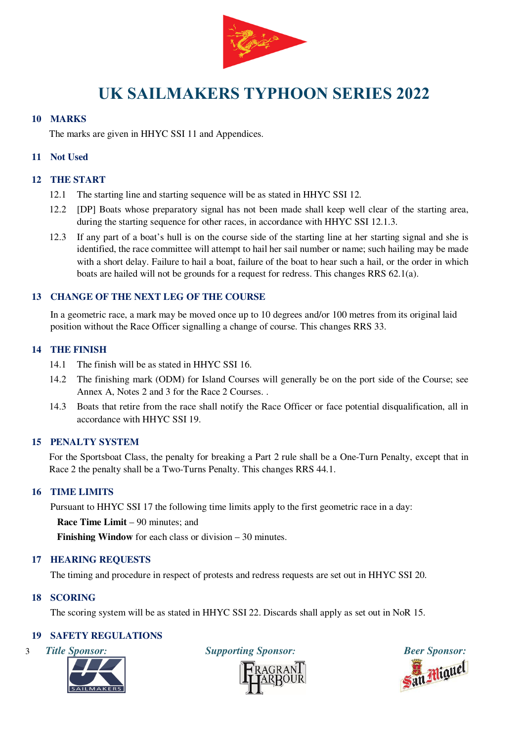

### **10 MARKS**

The marks are given in HHYC SSI 11 and Appendices.

### **11 Not Used**

## **12 THE START**

- 12.1 The starting line and starting sequence will be as stated in HHYC SSI 12.
- 12.2 [DP] Boats whose preparatory signal has not been made shall keep well clear of the starting area, during the starting sequence for other races, in accordance with HHYC SSI 12.1.3.
- 12.3 If any part of a boat's hull is on the course side of the starting line at her starting signal and she is identified, the race committee will attempt to hail her sail number or name; such hailing may be made with a short delay. Failure to hail a boat, failure of the boat to hear such a hail, or the order in which boats are hailed will not be grounds for a request for redress. This changes RRS 62.1(a).

### **13 CHANGE OF THE NEXT LEG OF THE COURSE**

In a geometric race, a mark may be moved once up to 10 degrees and/or 100 metres from its original laid position without the Race Officer signalling a change of course. This changes RRS 33.

### **14 THE FINISH**

- 14.1 The finish will be as stated in HHYC SSI 16.
- 14.2 The finishing mark (ODM) for Island Courses will generally be on the port side of the Course; see Annex A, Notes 2 and 3 for the Race 2 Courses. .
- 14.3 Boats that retire from the race shall notify the Race Officer or face potential disqualification, all in accordance with HHYC SSI 19.

# **15 PENALTY SYSTEM**

For the Sportsboat Class, the penalty for breaking a Part 2 rule shall be a One-Turn Penalty, except that in Race 2 the penalty shall be a Two-Turns Penalty. This changes RRS 44.1.

#### **16 TIME LIMITS**

Pursuant to HHYC SSI 17 the following time limits apply to the first geometric race in a day:

**Race Time Limit** – 90 minutes; and

**Finishing Window** for each class or division – 30 minutes.

# **17 HEARING REQUESTS**

The timing and procedure in respect of protests and redress requests are set out in HHYC SSI 20.

#### **18 SCORING**

The scoring system will be as stated in HHYC SSI 22. Discards shall apply as set out in NoR 15.

# **19 SAFETY REGULATIONS**





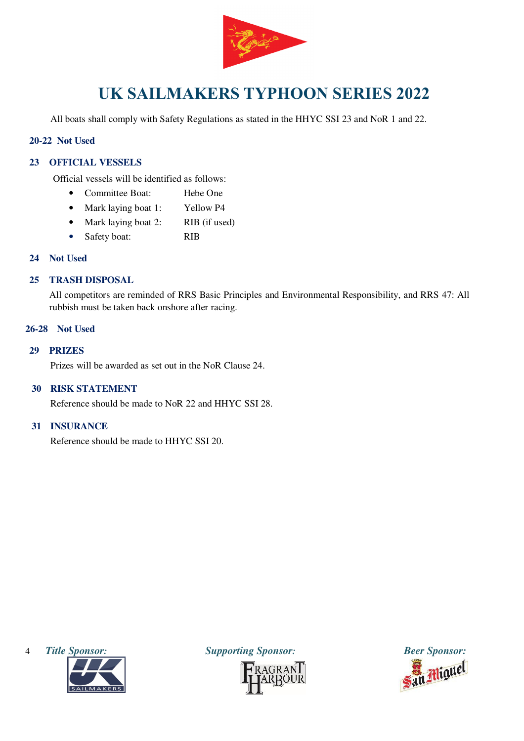

All boats shall comply with Safety Regulations as stated in the HHYC SSI 23 and NoR 1 and 22.

## **20-22 Not Used**

# **23 OFFICIAL VESSELS**

Official vessels will be identified as follows:

- Committee Boat: Hebe One
- Mark laying boat 1: Yellow P4
- Mark laying boat 2: RIB (if used)
- Safety boat: RIB

### **24 Not Used**

### **25 TRASH DISPOSAL**

All competitors are reminded of RRS Basic Principles and Environmental Responsibility, and RRS 47: All rubbish must be taken back onshore after racing.

## **26-28 Not Used**

#### **29 PRIZES**

Prizes will be awarded as set out in the NoR Clause 24.

## **30 RISK STATEMENT**

Reference should be made to NoR 22 and HHYC SSI 28.

#### **31 INSURANCE**

Reference should be made to HHYC SSI 20.





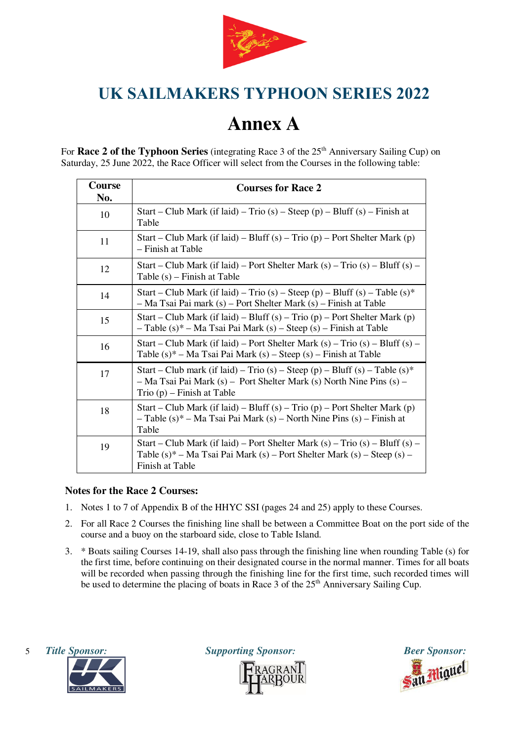

# **Annex A**

For **Race 2 of the Typhoon Series** (integrating Race 3 of the 25<sup>th</sup> Anniversary Sailing Cup) on Saturday, 25 June 2022, the Race Officer will select from the Courses in the following table:

| <b>Course</b><br>No. | <b>Courses for Race 2</b>                                                                                                                                                           |  |
|----------------------|-------------------------------------------------------------------------------------------------------------------------------------------------------------------------------------|--|
| 10                   | Start – Club Mark (if laid) – Trio (s) – Steep (p) – Bluff (s) – Finish at<br>Table                                                                                                 |  |
| 11                   | Start – Club Mark (if laid) – Bluff (s) – Trio (p) – Port Shelter Mark (p)<br>– Finish at Table                                                                                     |  |
| 12                   | Start – Club Mark (if laid) – Port Shelter Mark (s) – Trio (s) – Bluff (s) –<br>Table (s) – Finish at Table                                                                         |  |
| 14                   | Start – Club Mark (if laid) – Trio (s) – Steep (p) – Bluff (s) – Table (s)*<br>- Ma Tsai Pai mark (s) - Port Shelter Mark (s) - Finish at Table                                     |  |
| 15                   | Start – Club Mark (if laid) – Bluff (s) – Trio (p) – Port Shelter Mark (p)<br>- Table (s)* - Ma Tsai Pai Mark (s) - Steep (s) - Finish at Table                                     |  |
| 16                   | Start – Club Mark (if laid) – Port Shelter Mark (s) – Trio (s) – Bluff (s) –<br>Table $(s)^*$ – Ma Tsai Pai Mark $(s)$ – Steep $(s)$ – Finish at Table                              |  |
| 17                   | Start – Club mark (if laid) – Trio (s) – Steep (p) – Bluff (s) – Table (s)*<br>- Ma Tsai Pai Mark (s) - Port Shelter Mark (s) North Nine Pins (s) -<br>Trio $(p)$ – Finish at Table |  |
| 18                   | Start – Club Mark (if laid) – Bluff (s) – Trio (p) – Port Shelter Mark (p)<br>$-$ Table (s)* – Ma Tsai Pai Mark (s) – North Nine Pins (s) – Finish at<br>Table                      |  |
| 19                   | Start – Club Mark (if laid) – Port Shelter Mark (s) – Trio (s) – Bluff (s) –<br>Table (s)* – Ma Tsai Pai Mark (s) – Port Shelter Mark (s) – Steep (s) –<br>Finish at Table          |  |

# **Notes for the Race 2 Courses:**

- 1. Notes 1 to 7 of Appendix B of the HHYC SSI (pages 24 and 25) apply to these Courses.
- 2. For all Race 2 Courses the finishing line shall be between a Committee Boat on the port side of the course and a buoy on the starboard side, close to Table Island.
- 3. \* Boats sailing Courses 14-19, shall also pass through the finishing line when rounding Table (s) for the first time, before continuing on their designated course in the normal manner. Times for all boats will be recorded when passing through the finishing line for the first time, such recorded times will be used to determine the placing of boats in Race 3 of the  $25<sup>th</sup>$  Anniversary Sailing Cup.